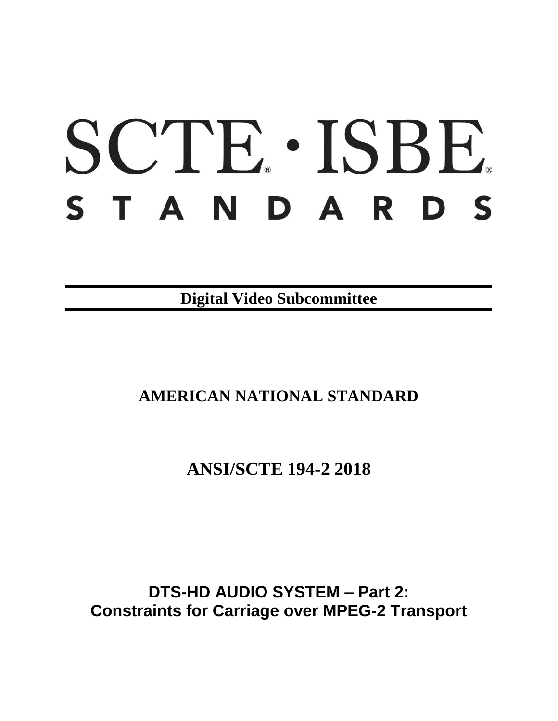# SCTE · ISBE. S T A N D A R D S

**Digital Video Subcommittee**

# **AMERICAN NATIONAL STANDARD**

**ANSI/SCTE 194-2 2018**

**DTS-HD AUDIO SYSTEM – Part 2: Constraints for Carriage over MPEG-2 Transport**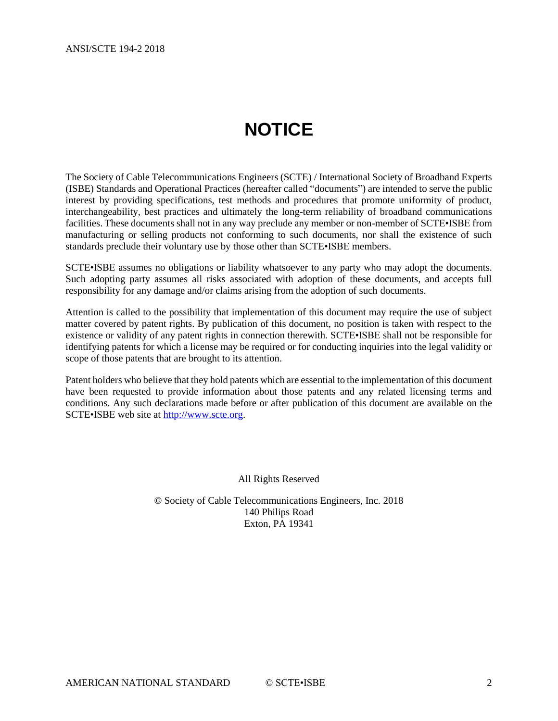# **NOTICE**

<span id="page-1-0"></span>The Society of Cable Telecommunications Engineers (SCTE) / International Society of Broadband Experts (ISBE) Standards and Operational Practices (hereafter called "documents") are intended to serve the public interest by providing specifications, test methods and procedures that promote uniformity of product, interchangeability, best practices and ultimately the long-term reliability of broadband communications facilities. These documents shall not in any way preclude any member or non-member of SCTE•ISBE from manufacturing or selling products not conforming to such documents, nor shall the existence of such standards preclude their voluntary use by those other than SCTE•ISBE members.

SCTE•ISBE assumes no obligations or liability whatsoever to any party who may adopt the documents. Such adopting party assumes all risks associated with adoption of these documents, and accepts full responsibility for any damage and/or claims arising from the adoption of such documents.

Attention is called to the possibility that implementation of this document may require the use of subject matter covered by patent rights. By publication of this document, no position is taken with respect to the existence or validity of any patent rights in connection therewith. SCTE•ISBE shall not be responsible for identifying patents for which a license may be required or for conducting inquiries into the legal validity or scope of those patents that are brought to its attention.

Patent holders who believe that they hold patents which are essential to the implementation of this document have been requested to provide information about those patents and any related licensing terms and conditions. Any such declarations made before or after publication of this document are available on the SCTE•ISBE web site at [http://www.scte.org.](http://www.scte.org/)

All Rights Reserved

© Society of Cable Telecommunications Engineers, Inc. 2018 140 Philips Road Exton, PA 19341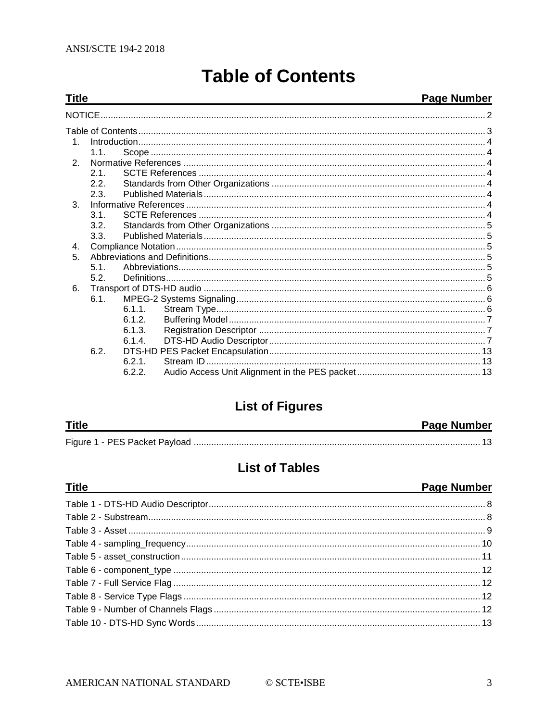<span id="page-2-0"></span>**Title** 

# **Table of Contents**

#### Page Number

| $\mathbf{1}$   |      |           |  |
|----------------|------|-----------|--|
|                | 1.1. |           |  |
| $\mathcal{P}$  |      |           |  |
|                | 2.1. |           |  |
|                | 2.2. |           |  |
|                | 2.3. |           |  |
| $\mathbf{3}$ . |      |           |  |
|                | 31   |           |  |
|                | 3.2. |           |  |
|                | 3.3. |           |  |
| 4 <sub>1</sub> |      |           |  |
| 5.             |      |           |  |
|                | 5.1. |           |  |
|                | 5.2. |           |  |
| 6.             |      |           |  |
|                | 6.1  |           |  |
|                |      | $6.1.1$ . |  |
|                |      | 6.1.2.    |  |
|                |      | 6.1.3.    |  |
|                |      | 6.1.4.    |  |
|                | 6.2. |           |  |
|                |      | 6.2.1     |  |
|                |      | 6.2.2.    |  |
|                |      |           |  |

# **List of Figures**

| <b>Title</b> | <b>Page Number</b> |
|--------------|--------------------|
|              |                    |

# **List of Tables**

| <b>Page Number</b> |
|--------------------|
|                    |
|                    |
|                    |
|                    |
|                    |
|                    |
|                    |
|                    |
|                    |
|                    |
|                    |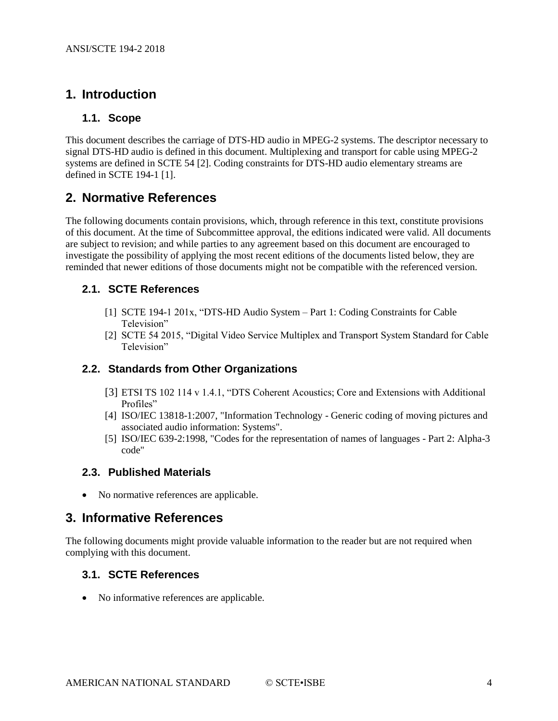## <span id="page-3-1"></span><span id="page-3-0"></span>**1. Introduction**

#### **1.1. Scope**

This document describes the carriage of DTS-HD audio in MPEG-2 systems. The descriptor necessary to signal DTS-HD audio is defined in this document. Multiplexing and transport for cable using MPEG-2 systems are defined in SCTE 54 [\[2\].](#page-3-8) Coding constraints for DTS-HD audio elementary streams are defined in SCTE 194-1 [\[1\].](#page-3-9)

#### <span id="page-3-2"></span>**2. Normative References**

The following documents contain provisions, which, through reference in this text, constitute provisions of this document. At the time of Subcommittee approval, the editions indicated were valid. All documents are subject to revision; and while parties to any agreement based on this document are encouraged to investigate the possibility of applying the most recent editions of the documents listed below, they are reminded that newer editions of those documents might not be compatible with the referenced version.

#### <span id="page-3-9"></span><span id="page-3-3"></span>**2.1. SCTE References**

- [1] SCTE 194-1 201x, "DTS-HD Audio System Part 1: Coding Constraints for Cable Television"
- [2] SCTE 54 2015, "Digital Video Service Multiplex and Transport System Standard for Cable Television"

#### <span id="page-3-10"></span><span id="page-3-8"></span><span id="page-3-4"></span>**2.2. Standards from Other Organizations**

- [3] ETSI TS 102 114 v 1.4.1, "DTS Coherent Acoustics; Core and Extensions with Additional Profiles"
- <span id="page-3-11"></span>[4] ISO/IEC 13818-1:2007, "Information Technology - Generic coding of moving pictures and associated audio information: Systems".
- [5] ISO/IEC 639-2:1998, "Codes for the representation of names of languages Part 2: Alpha-3 code"

#### <span id="page-3-12"></span><span id="page-3-5"></span>**2.3. Published Materials**

• No normative references are applicable.

#### <span id="page-3-6"></span>**3. Informative References**

The following documents might provide valuable information to the reader but are not required when complying with this document.

#### <span id="page-3-7"></span>**3.1. SCTE References**

• No informative references are applicable.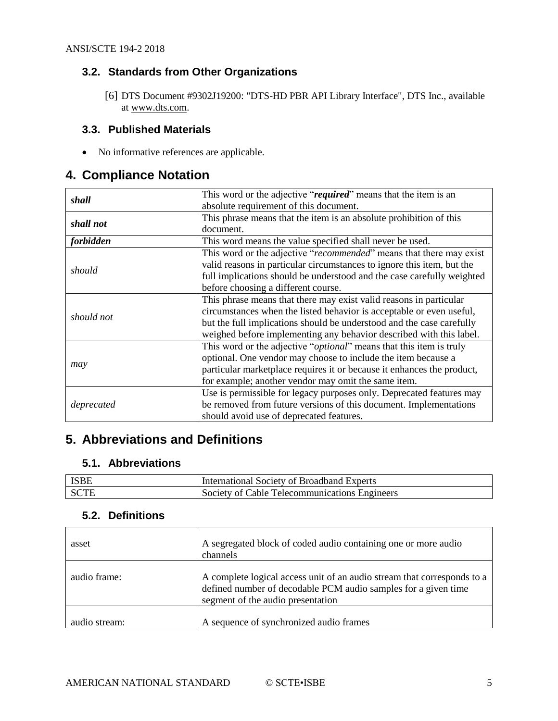#### <span id="page-4-0"></span>**3.2. Standards from Other Organizations**

[6] DTS Document #9302J19200: "DTS-HD PBR API Library Interface", DTS Inc., available at [www.dts.com.](http://www.dts.com/)

#### <span id="page-4-1"></span>**3.3. Published Materials**

• No informative references are applicable.

#### <span id="page-4-2"></span>**4. Compliance Notation**

| shall      | This word or the adjective "required" means that the item is an              |  |  |  |  |
|------------|------------------------------------------------------------------------------|--|--|--|--|
|            | absolute requirement of this document.                                       |  |  |  |  |
| shall not  | This phrase means that the item is an absolute prohibition of this           |  |  |  |  |
|            | document.                                                                    |  |  |  |  |
| forbidden  | This word means the value specified shall never be used.                     |  |  |  |  |
|            | This word or the adjective "recommended" means that there may exist          |  |  |  |  |
|            | valid reasons in particular circumstances to ignore this item, but the       |  |  |  |  |
| should     | full implications should be understood and the case carefully weighted       |  |  |  |  |
|            | before choosing a different course.                                          |  |  |  |  |
|            | This phrase means that there may exist valid reasons in particular           |  |  |  |  |
|            | circumstances when the listed behavior is acceptable or even useful,         |  |  |  |  |
| should not | but the full implications should be understood and the case carefully        |  |  |  |  |
|            | weighed before implementing any behavior described with this label.          |  |  |  |  |
|            | This word or the adjective " <i>optional</i> " means that this item is truly |  |  |  |  |
|            | optional. One vendor may choose to include the item because a                |  |  |  |  |
| may        | particular marketplace requires it or because it enhances the product,       |  |  |  |  |
|            | for example; another vendor may omit the same item.                          |  |  |  |  |
|            | Use is permissible for legacy purposes only. Deprecated features may         |  |  |  |  |
| deprecated | be removed from future versions of this document. Implementations            |  |  |  |  |
|            | should avoid use of deprecated features.                                     |  |  |  |  |

## <span id="page-4-3"></span>**5. Abbreviations and Definitions**

#### <span id="page-4-4"></span>**5.1. Abbreviations**

| <b>ISBE</b> | International Society of Broadband Experts    |
|-------------|-----------------------------------------------|
| SCTE        | Society of Cable Telecommunications Engineers |

#### <span id="page-4-5"></span>**5.2. Definitions**

| asset         | A segregated block of coded audio containing one or more audio<br>channels                                                                                                     |  |  |  |  |  |
|---------------|--------------------------------------------------------------------------------------------------------------------------------------------------------------------------------|--|--|--|--|--|
| audio frame:  | A complete logical access unit of an audio stream that corresponds to a<br>defined number of decodable PCM audio samples for a given time<br>segment of the audio presentation |  |  |  |  |  |
| audio stream: | A sequence of synchronized audio frames                                                                                                                                        |  |  |  |  |  |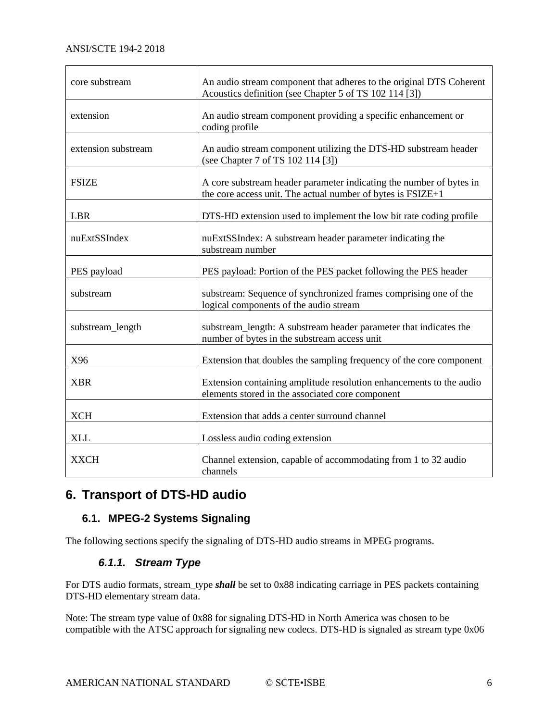| core substream      | An audio stream component that adheres to the original DTS Coherent<br>Acoustics definition (see Chapter 5 of TS 102 114 [3])      |  |  |  |  |
|---------------------|------------------------------------------------------------------------------------------------------------------------------------|--|--|--|--|
| extension           | An audio stream component providing a specific enhancement or<br>coding profile                                                    |  |  |  |  |
| extension substream | An audio stream component utilizing the DTS-HD substream header<br>(see Chapter 7 of TS 102 114 [3])                               |  |  |  |  |
| <b>FSIZE</b>        | A core substream header parameter indicating the number of bytes in<br>the core access unit. The actual number of bytes is FSIZE+1 |  |  |  |  |
| <b>LBR</b>          | DTS-HD extension used to implement the low bit rate coding profile                                                                 |  |  |  |  |
| nuExtSSIndex        | nuExtSSIndex: A substream header parameter indicating the<br>substream number                                                      |  |  |  |  |
| PES payload         | PES payload: Portion of the PES packet following the PES header                                                                    |  |  |  |  |
| substream           | substream: Sequence of synchronized frames comprising one of the<br>logical components of the audio stream                         |  |  |  |  |
| substream_length    | substream_length: A substream header parameter that indicates the<br>number of bytes in the substream access unit                  |  |  |  |  |
| X96                 | Extension that doubles the sampling frequency of the core component                                                                |  |  |  |  |
| <b>XBR</b>          | Extension containing amplitude resolution enhancements to the audio<br>elements stored in the associated core component            |  |  |  |  |
| <b>XCH</b>          | Extension that adds a center surround channel                                                                                      |  |  |  |  |
| <b>XLL</b>          | Lossless audio coding extension                                                                                                    |  |  |  |  |
| <b>XXCH</b>         | Channel extension, capable of accommodating from 1 to 32 audio<br>channels                                                         |  |  |  |  |

## <span id="page-5-0"></span>**6. Transport of DTS-HD audio**

#### <span id="page-5-1"></span>**6.1. MPEG-2 Systems Signaling**

<span id="page-5-2"></span>The following sections specify the signaling of DTS-HD audio streams in MPEG programs.

#### *6.1.1. Stream Type*

For DTS audio formats, stream\_type *shall* be set to 0x88 indicating carriage in PES packets containing DTS-HD elementary stream data.

Note: The stream type value of 0x88 for signaling DTS-HD in North America was chosen to be compatible with the ATSC approach for signaling new codecs. DTS-HD is signaled as stream type 0x06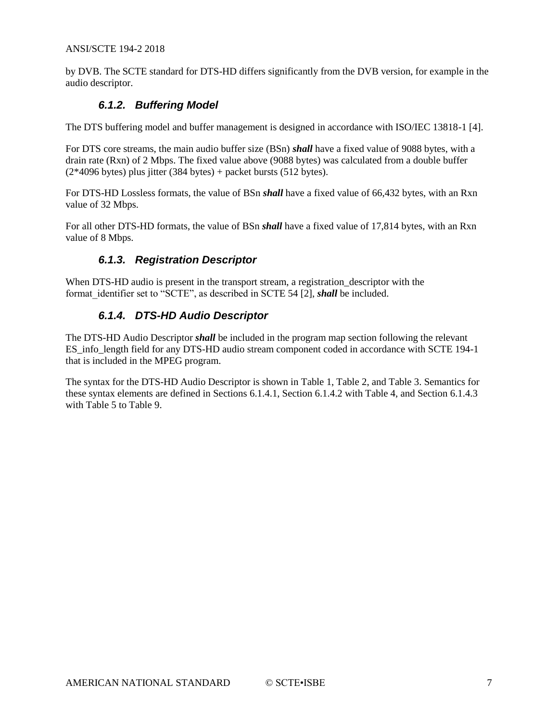#### ANSI/SCTE 194-2 2018

<span id="page-6-0"></span>by DVB. The SCTE standard for DTS-HD differs significantly from the DVB version, for example in the audio descriptor.

#### *6.1.2. Buffering Model*

The DTS buffering model and buffer management is designed in accordance with ISO/IEC 13818-1 [\[4\].](#page-3-11)

For DTS core streams, the main audio buffer size (BSn) *shall* have a fixed value of 9088 bytes, with a drain rate (Rxn) of 2 Mbps. The fixed value above (9088 bytes) was calculated from a double buffer  $(2*4096$  bytes) plus jitter  $(384$  bytes) + packet bursts  $(512$  bytes).

For DTS-HD Lossless formats, the value of BSn *shall* have a fixed value of 66,432 bytes, with an Rxn value of 32 Mbps.

<span id="page-6-1"></span>For all other DTS-HD formats, the value of BSn *shall* have a fixed value of 17,814 bytes, with an Rxn value of 8 Mbps.

#### *6.1.3. Registration Descriptor*

<span id="page-6-2"></span>When DTS-HD audio is present in the transport stream, a registration\_descriptor with the format identifier set to "SCTE", as described in SCTE 54 [\[2\],](#page-3-8) *shall* be included.

#### *6.1.4. DTS-HD Audio Descriptor*

The DTS-HD Audio Descriptor *shall* be included in the program map section following the relevant ES info length field for any DTS-HD audio stream component coded in accordance with SCTE 194-1 that is included in the MPEG program.

The syntax for the DTS-HD Audio Descriptor is shown in [Table 1,](#page-7-0) [Table 2,](#page-7-1) and [Table 3.](#page-8-0) Semantics for these syntax elements are defined in Sections [6.1.4.1,](#page-8-1) Section [6.1.4.2](#page-9-1) wit[h Table 4,](#page-9-0) and Section [6.1.4.3](#page-9-2) with [Table 5](#page-10-0) t[o Table 9.](#page-11-3)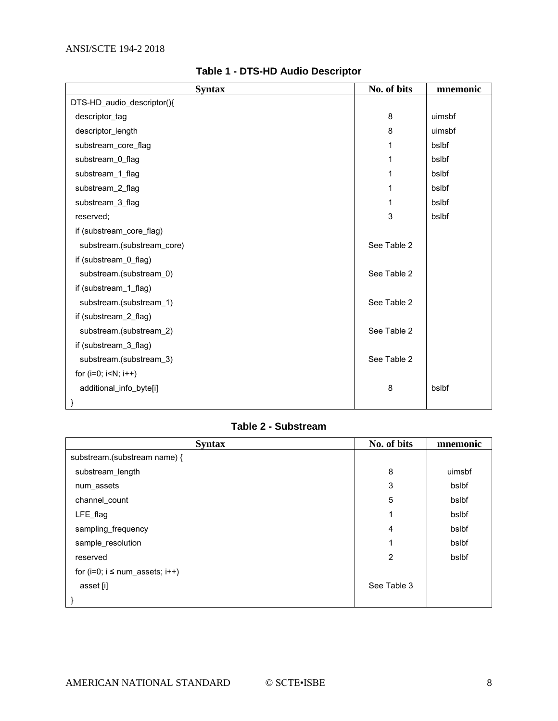<span id="page-7-0"></span>

| <b>Syntax</b>              | No. of bits | mnemonic |
|----------------------------|-------------|----------|
| DTS-HD_audio_descriptor(){ |             |          |
| descriptor_tag             | 8           | uimsbf   |
| descriptor_length          | 8           | uimsbf   |
| substream_core_flag        | 1           | bslbf    |
| substream_0_flag           | 1           | bslbf    |
| substream_1_flag           | 1           | bslbf    |
| substream_2_flag           | 1           | bslbf    |
| substream_3_flag           | 1           | bslbf    |
| reserved;                  | 3           | bslbf    |
| if (substream_core_flag)   |             |          |
| substream.(substream_core) | See Table 2 |          |
| if (substream_0_flag)      |             |          |
| substream.(substream_0)    | See Table 2 |          |
| if (substream_1_flag)      |             |          |
| substream.(substream_1)    | See Table 2 |          |
| if (substream_2_flag)      |             |          |
| substream.(substream_2)    | See Table 2 |          |
| if (substream_3_flag)      |             |          |
| substream.(substream_3)    | See Table 2 |          |
| for $(i=0; i< N; i++)$     |             |          |
| additional_info_byte[i]    | 8           | bslbf    |
| }                          |             |          |

#### **Table 1 - DTS-HD Audio Descriptor**

#### **Table 2 - Substream**

<span id="page-7-1"></span>

| <b>Syntax</b>                        | No. of bits | mnemonic |
|--------------------------------------|-------------|----------|
| substream.(substream name) {         |             |          |
| substream_length                     | 8           | uimsbf   |
| num_assets                           | 3           | bslbf    |
| channel_count                        | 5           | bslbf    |
| LFE_flag                             |             | bslbf    |
| sampling_frequency                   | 4           | bslbf    |
| sample_resolution                    | ◢           | bslbf    |
| reserved                             | 2           | bslbf    |
| for $(i=0; i \leq num\_assets; i++)$ |             |          |
| asset [i]                            | See Table 3 |          |
|                                      |             |          |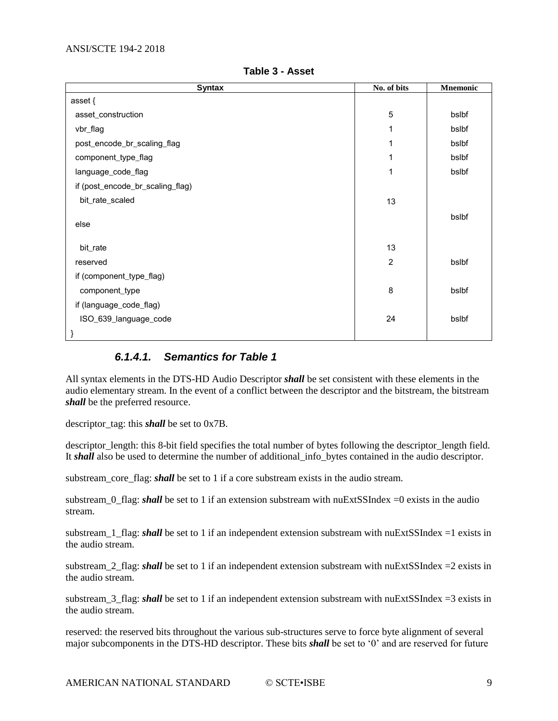<span id="page-8-0"></span>

| <b>Syntax</b>                    | No. of bits    | <b>Mnemonic</b> |
|----------------------------------|----------------|-----------------|
| asset {                          |                |                 |
| asset_construction               | 5              | bslbf           |
| vbr_flag                         | 1              | bslbf           |
| post_encode_br_scaling_flag      | 1              | bslbf           |
| component_type_flag              | 1              | bslbf           |
| language_code_flag               | 1              | bslbf           |
| if (post_encode_br_scaling_flag) |                |                 |
| bit_rate_scaled                  | 13             |                 |
| else                             |                | bslbf           |
| bit_rate                         | 13             |                 |
| reserved                         | $\overline{2}$ | bslbf           |
| if (component_type_flag)         |                |                 |
| component_type                   | 8              | bslbf           |
| if (language_code_flag)          |                |                 |
| ISO_639_language_code            | 24             | bslbf           |
| }                                |                |                 |

**Table 3 - Asset**

#### *6.1.4.1. Semantics for Table 1*

<span id="page-8-1"></span>All syntax elements in the DTS-HD Audio Descriptor *shall* be set consistent with these elements in the audio elementary stream. In the event of a conflict between the descriptor and the bitstream, the bitstream *shall* be the preferred resource.

descriptor\_tag: this *shall* be set to 0x7B.

descriptor\_length: this 8-bit field specifies the total number of bytes following the descriptor\_length field. It *shall* also be used to determine the number of additional\_info\_bytes contained in the audio descriptor.

substream core flag: *shall* be set to 1 if a core substream exists in the audio stream.

substream\_0\_flag: *shall* be set to 1 if an extension substream with nuExtSSIndex =0 exists in the audio stream.

substream 1 flag: *shall* be set to 1 if an independent extension substream with nuExtSSIndex =1 exists in the audio stream.

substream\_2\_flag: *shall* be set to 1 if an independent extension substream with nuExtSSIndex =2 exists in the audio stream.

substream\_3\_flag: *shall* be set to 1 if an independent extension substream with nuExtSSIndex =3 exists in the audio stream.

reserved: the reserved bits throughout the various sub-structures serve to force byte alignment of several major subcomponents in the DTS-HD descriptor. These bits *shall* be set to '0' and are reserved for future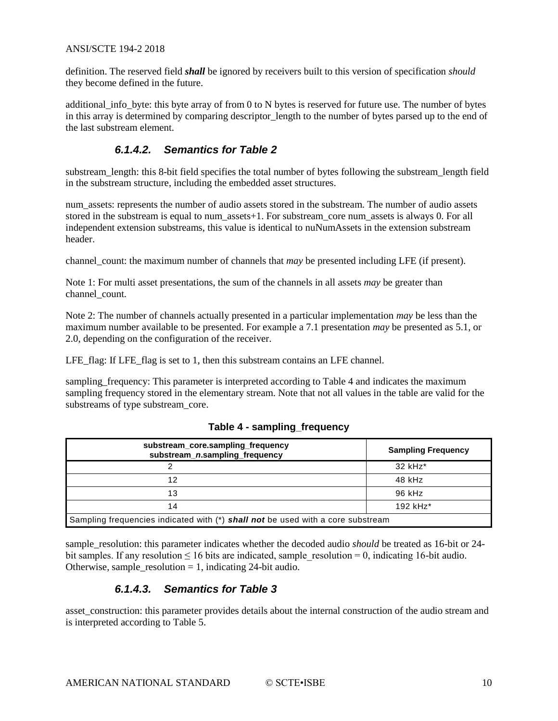#### ANSI/SCTE 194-2 2018

definition. The reserved field *shall* be ignored by receivers built to this version of specification *should* they become defined in the future.

additional\_info\_byte: this byte array of from 0 to N bytes is reserved for future use. The number of bytes in this array is determined by comparing descriptor length to the number of bytes parsed up to the end of the last substream element.

#### *6.1.4.2. Semantics for Table 2*

<span id="page-9-1"></span>substream\_length: this 8-bit field specifies the total number of bytes following the substream\_length field in the substream structure, including the embedded asset structures.

num\_assets: represents the number of audio assets stored in the substream. The number of audio assets stored in the substream is equal to num\_assets+1. For substream\_core num\_assets is always 0. For all independent extension substreams, this value is identical to nuNumAssets in the extension substream header.

channel count: the maximum number of channels that *may* be presented including LFE (if present).

Note 1: For multi asset presentations, the sum of the channels in all assets *may* be greater than channel\_count.

Note 2: The number of channels actually presented in a particular implementation *may* be less than the maximum number available to be presented. For example a 7.1 presentation *may* be presented as 5.1, or 2.0, depending on the configuration of the receiver.

LFE\_flag: If LFE\_flag is set to 1, then this substream contains an LFE channel.

sampling frequency: This parameter is interpreted according to Table 4 and indicates the maximum sampling frequency stored in the elementary stream. Note that not all values in the table are valid for the substreams of type substream\_core.

<span id="page-9-0"></span>

| substream_core.sampling_frequency<br>substream_n.sampling_frequency             | <b>Sampling Frequency</b> |  |  |  |  |
|---------------------------------------------------------------------------------|---------------------------|--|--|--|--|
|                                                                                 | 32 kHz*                   |  |  |  |  |
| 12                                                                              | 48 kHz                    |  |  |  |  |
| 13                                                                              | 96 kHz                    |  |  |  |  |
| 14                                                                              | 192 kHz*                  |  |  |  |  |
| Sampling frequencies indicated with (*) shall not be used with a core substream |                           |  |  |  |  |

#### **Table 4 - sampling\_frequency**

<span id="page-9-2"></span>sample resolution: this parameter indicates whether the decoded audio *should* be treated as 16-bit or 24bit samples. If any resolution  $\leq 16$  bits are indicated, sample resolution = 0, indicating 16-bit audio. Otherwise, sample resolution  $= 1$ , indicating 24-bit audio.

#### *6.1.4.3. Semantics for Table 3*

asset\_construction: this parameter provides details about the internal construction of the audio stream and is interpreted according to [Table 5.](#page-10-0)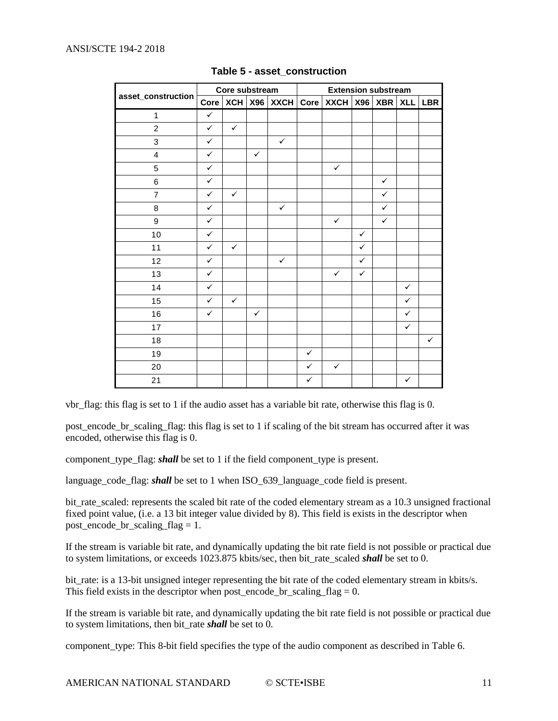#### <span id="page-10-0"></span>ANSI/SCTE 194-2 2018

|                         | Core substream |              |              |              | <b>Extension substream</b> |              |              |              |              |              |
|-------------------------|----------------|--------------|--------------|--------------|----------------------------|--------------|--------------|--------------|--------------|--------------|
| asset_construction      | Core           | XCH          |              | X96 XXCH     | <b>Core</b>                | $XXCH$ $X96$ |              | XBR          | <b>XLL</b>   | <b>LBR</b>   |
| $\mathbf{1}$            | $\checkmark$   |              |              |              |                            |              |              |              |              |              |
| $\overline{c}$          | $\checkmark$   | $\checkmark$ |              |              |                            |              |              |              |              |              |
| 3                       | $\checkmark$   |              |              | $\checkmark$ |                            |              |              |              |              |              |
| $\overline{\mathbf{4}}$ | $\checkmark$   |              | $\checkmark$ |              |                            |              |              |              |              |              |
| 5                       | $\checkmark$   |              |              |              |                            | $\checkmark$ |              |              |              |              |
| 6                       | $\checkmark$   |              |              |              |                            |              |              | $\checkmark$ |              |              |
| $\overline{7}$          | $\checkmark$   | $\checkmark$ |              |              |                            |              |              | $\checkmark$ |              |              |
| 8                       | $\checkmark$   |              |              | $\checkmark$ |                            |              |              | $\checkmark$ |              |              |
| 9                       | $\checkmark$   |              |              |              |                            | $\checkmark$ |              | $\checkmark$ |              |              |
| 10                      | $\checkmark$   |              |              |              |                            |              | $\checkmark$ |              |              |              |
| 11                      | $\checkmark$   | $\checkmark$ |              |              |                            |              | $\checkmark$ |              |              |              |
| 12                      | $\checkmark$   |              |              | $\checkmark$ |                            |              | $\checkmark$ |              |              |              |
| 13                      | $\checkmark$   |              |              |              |                            | $\checkmark$ | $\checkmark$ |              |              |              |
| 14                      | $\checkmark$   |              |              |              |                            |              |              |              | $\checkmark$ |              |
| 15                      | $\checkmark$   | $\checkmark$ |              |              |                            |              |              |              | $\checkmark$ |              |
| 16                      | $\checkmark$   |              | $\checkmark$ |              |                            |              |              |              | ✓            |              |
| 17                      |                |              |              |              |                            |              |              |              | ✓            |              |
| 18                      |                |              |              |              |                            |              |              |              |              | $\checkmark$ |
| 19                      |                |              |              |              | $\checkmark$               |              |              |              |              |              |
| 20                      |                |              |              |              | $\checkmark$               | $\checkmark$ |              |              |              |              |
| 21                      |                |              |              |              | $\checkmark$               |              |              |              | $\checkmark$ |              |

#### **Table 5 - asset\_construction**

vbr\_flag: this flag is set to 1 if the audio asset has a variable bit rate, otherwise this flag is 0.

post encode br scaling flag: this flag is set to 1 if scaling of the bit stream has occurred after it was encoded, otherwise this flag is 0.

component\_type\_flag: *shall* be set to 1 if the field component\_type is present.

language\_code\_flag: *shall* be set to 1 when ISO\_639\_language\_code field is present.

bit rate scaled: represents the scaled bit rate of the coded elementary stream as a 10.3 unsigned fractional fixed point value, (i.e. a 13 bit integer value divided by 8). This field is exists in the descriptor when post\_encode\_br\_scaling\_flag = 1.

If the stream is variable bit rate, and dynamically updating the bit rate field is not possible or practical due to system limitations, or exceeds 1023.875 kbits/sec, then bit\_rate\_scaled *shall* be set to 0.

bit\_rate: is a 13-bit unsigned integer representing the bit rate of the coded elementary stream in kbits/s. This field exists in the descriptor when post encode br scaling  $flag = 0$ .

If the stream is variable bit rate, and dynamically updating the bit rate field is not possible or practical due to system limitations, then bit\_rate *shall* be set to 0.

component\_type: This 8-bit field specifies the type of the audio component as described in [Table 6.](#page-11-0)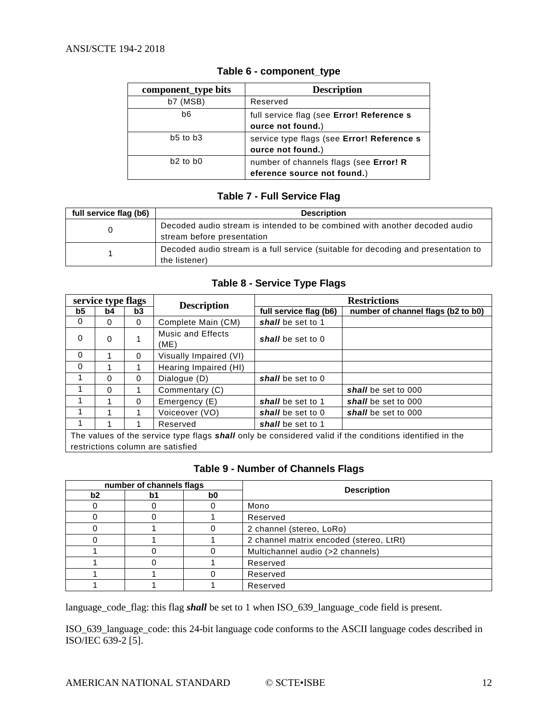<span id="page-11-0"></span>

| component_type bits | <b>Description</b>                                                    |
|---------------------|-----------------------------------------------------------------------|
| $b7$ (MSB)          | Reserved                                                              |
| b6                  | full service flag (see Error! Reference s<br>ource not found.)        |
| $b5$ to $b3$        | service type flags (see Error! Reference s<br>ource not found.)       |
| $b2$ to $b0$        | number of channels flags (see Error! R<br>eference source not found.) |

#### **Table 6 - component\_type**

#### **Table 7 - Full Service Flag**

<span id="page-11-1"></span>

| full service flag (b6) | <b>Description</b>                                                                                       |  |  |  |
|------------------------|----------------------------------------------------------------------------------------------------------|--|--|--|
|                        | Decoded audio stream is intended to be combined with another decoded audio<br>stream before presentation |  |  |  |
|                        | Decoded audio stream is a full service (suitable for decoding and presentation to<br>the listener)       |  |  |  |

#### **Table 8 - Service Type Flags**

<span id="page-11-2"></span>

| service type flags                                                                                                                                  |          |          | <b>Description</b>        | <b>Restrictions</b>    |                                    |  |
|-----------------------------------------------------------------------------------------------------------------------------------------------------|----------|----------|---------------------------|------------------------|------------------------------------|--|
| b5                                                                                                                                                  | b4       | b3       |                           | full service flag (b6) | number of channel flags (b2 to b0) |  |
| 0                                                                                                                                                   | $\Omega$ | $\Omega$ | Complete Main (CM)        | shall be set to 1      |                                    |  |
| $\Omega$                                                                                                                                            | $\Omega$ |          | Music and Effects<br>(ME) | shall be set to 0      |                                    |  |
| $\Omega$                                                                                                                                            |          | $\Omega$ | Visually Impaired (VI)    |                        |                                    |  |
| $\Omega$                                                                                                                                            |          |          | Hearing Impaired (HI)     |                        |                                    |  |
| 1                                                                                                                                                   | $\Omega$ | $\Omega$ | Dialogue (D)              | shall be set to 0      |                                    |  |
|                                                                                                                                                     | $\Omega$ |          | Commentary (C)            |                        | shall be set to 000                |  |
| 1                                                                                                                                                   |          | $\Omega$ | Emergency (E)             | shall be set to 1      | shall be set to 000                |  |
| 1                                                                                                                                                   |          |          | Voiceover (VO)            | shall be set to 0      | shall be set to 000                |  |
| 1                                                                                                                                                   |          |          | Reserved                  | shall be set to 1      |                                    |  |
| The values of the service type flags <b>shall</b> only be considered valid if the conditions identified in the<br>restrictions column are satisfied |          |          |                           |                        |                                    |  |

#### **Table 9 - Number of Channels Flags**

<span id="page-11-3"></span>

| number of channels flags |    |    |                                         |  |
|--------------------------|----|----|-----------------------------------------|--|
| b2                       | þ. | b0 | <b>Description</b>                      |  |
|                          |    |    | Mono                                    |  |
|                          |    |    | Reserved                                |  |
|                          |    |    | 2 channel (stereo, LoRo)                |  |
|                          |    |    | 2 channel matrix encoded (stereo, LtRt) |  |
|                          |    |    | Multichannel audio (>2 channels)        |  |
|                          |    |    | Reserved                                |  |
|                          |    |    | Reserved                                |  |
|                          |    |    | Reserved                                |  |

language\_code\_flag: this flag *shall* be set to 1 when ISO\_639\_language\_code field is present.

ISO\_639\_language\_code: this 24-bit language code conforms to the ASCII language codes described in ISO/IEC 639-2 [\[5\].](#page-3-12)